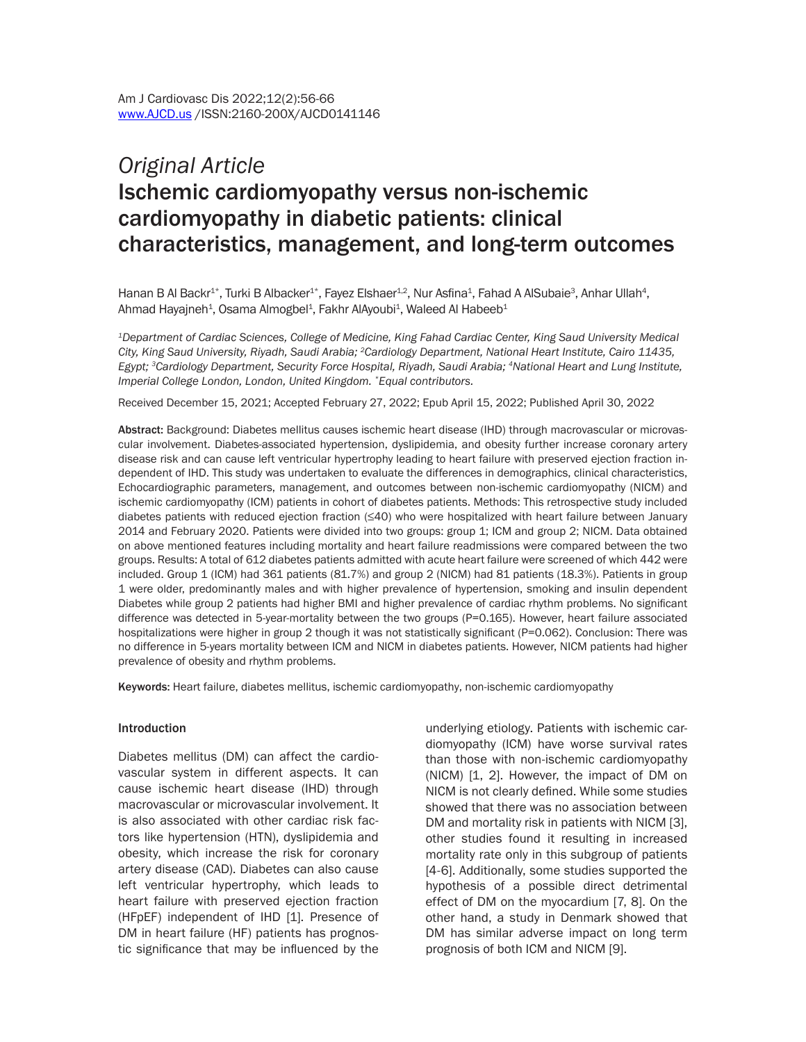# *Original Article* Ischemic cardiomyopathy versus non-ischemic cardiomyopathy in diabetic patients: clinical characteristics, management, and long-term outcomes

Hanan B Al Backr<sup>1\*</sup>, Turki B Albacker<sup>1\*</sup>, Fayez Elshaer<sup>1.2</sup>, Nur Asfina<sup>1</sup>, Fahad A AlSubaie<sup>3</sup>, Anhar Ullah<sup>4</sup>, Ahmad Hayajneh $^{\rm 1}$ , Osama Almogbel $^{\rm 1}$ , Fakhr AlAyoubi $^{\rm 1}$ , Waleed Al Habeeb $^{\rm 1}$ 

*1Department of Cardiac Sciences, College of Medicine, King Fahad Cardiac Center, King Saud University Medical City, King Saud University, Riyadh, Saudi Arabia; 2Cardiology Department, National Heart Institute, Cairo 11435, Egypt; 3Cardiology Department, Security Force Hospital, Riyadh, Saudi Arabia; 4National Heart and Lung Institute, Imperial College London, London, United Kingdom. \*Equal contributors.*

Received December 15, 2021; Accepted February 27, 2022; Epub April 15, 2022; Published April 30, 2022

Abstract: Background: Diabetes mellitus causes ischemic heart disease (IHD) through macrovascular or microvascular involvement. Diabetes-associated hypertension, dyslipidemia, and obesity further increase coronary artery disease risk and can cause left ventricular hypertrophy leading to heart failure with preserved ejection fraction independent of IHD. This study was undertaken to evaluate the differences in demographics, clinical characteristics, Echocardiographic parameters, management, and outcomes between non-ischemic cardiomyopathy (NICM) and ischemic cardiomyopathy (ICM) patients in cohort of diabetes patients. Methods: This retrospective study included diabetes patients with reduced ejection fraction (≤40) who were hospitalized with heart failure between January 2014 and February 2020. Patients were divided into two groups: group 1; ICM and group 2; NICM. Data obtained on above mentioned features including mortality and heart failure readmissions were compared between the two groups. Results: A total of 612 diabetes patients admitted with acute heart failure were screened of which 442 were included. Group 1 (ICM) had 361 patients (81.7%) and group 2 (NICM) had 81 patients (18.3%). Patients in group 1 were older, predominantly males and with higher prevalence of hypertension, smoking and insulin dependent Diabetes while group 2 patients had higher BMI and higher prevalence of cardiac rhythm problems. No significant difference was detected in 5-year-mortality between the two groups (P=0.165). However, heart failure associated hospitalizations were higher in group 2 though it was not statistically significant (P=0.062). Conclusion: There was no difference in 5-years mortality between ICM and NICM in diabetes patients. However, NICM patients had higher prevalence of obesity and rhythm problems.

Keywords: Heart failure, diabetes mellitus, ischemic cardiomyopathy, non-ischemic cardiomyopathy

#### Introduction

Diabetes mellitus (DM) can affect the cardiovascular system in different aspects. It can cause ischemic heart disease (IHD) through macrovascular or microvascular involvement. It is also associated with other cardiac risk factors like hypertension (HTN), dyslipidemia and obesity, which increase the risk for coronary artery disease (CAD). Diabetes can also cause left ventricular hypertrophy, which leads to heart failure with preserved ejection fraction (HFpEF) independent of IHD [1]. Presence of DM in heart failure (HF) patients has prognostic significance that may be influenced by the

underlying etiology. Patients with ischemic cardiomyopathy (ICM) have worse survival rates than those with non-ischemic cardiomyopathy (NICM) [1, 2]. However, the impact of DM on NICM is not clearly defined. While some studies showed that there was no association between DM and mortality risk in patients with NICM [3], other studies found it resulting in increased mortality rate only in this subgroup of patients [4-6]. Additionally, some studies supported the hypothesis of a possible direct detrimental effect of DM on the myocardium [7, 8]. On the other hand, a study in Denmark showed that DM has similar adverse impact on long term prognosis of both ICM and NICM [9].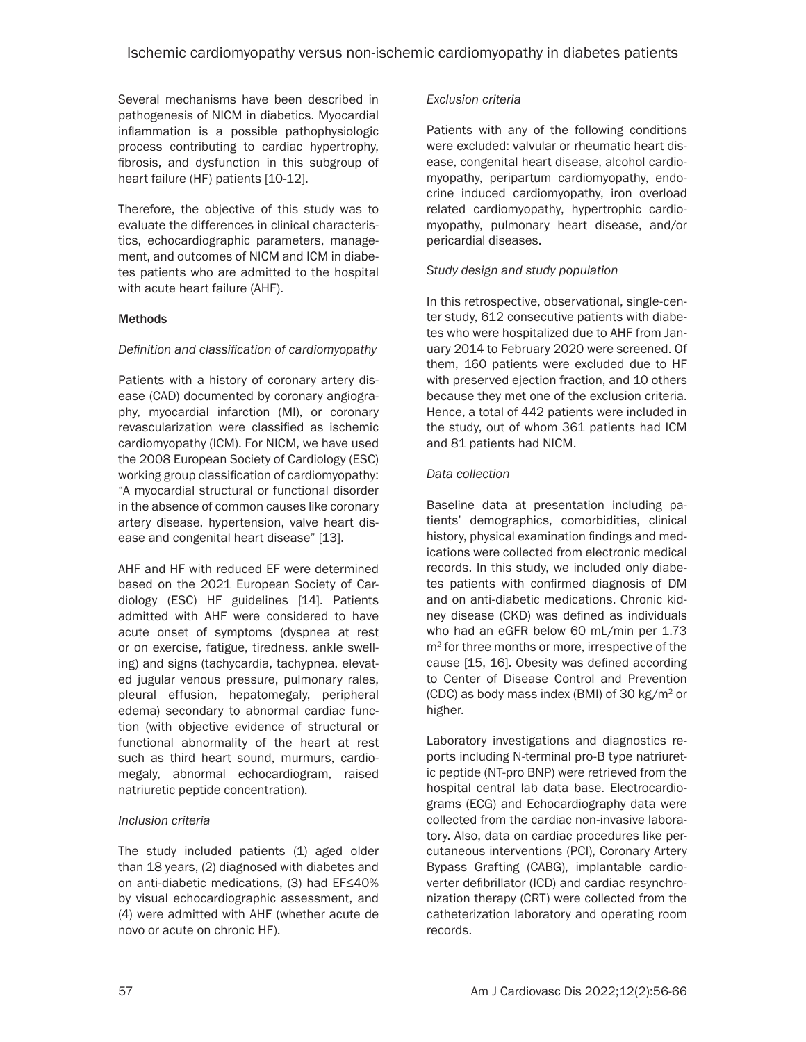Several mechanisms have been described in pathogenesis of NICM in diabetics. Myocardial inflammation is a possible pathophysiologic process contributing to cardiac hypertrophy, fibrosis, and dysfunction in this subgroup of heart failure (HF) patients [10-12].

Therefore, the objective of this study was to evaluate the differences in clinical characteristics, echocardiographic parameters, management, and outcomes of NICM and ICM in diabetes patients who are admitted to the hospital with acute heart failure (AHF).

## Methods

## *Definition and classification of cardiomyopathy*

Patients with a history of coronary artery disease (CAD) documented by coronary angiography, myocardial infarction (MI), or coronary revascularization were classified as ischemic cardiomyopathy (ICM). For NICM, we have used the 2008 European Society of Cardiology (ESC) working group classification of cardiomyopathy: "A myocardial structural or functional disorder in the absence of common causes like coronary artery disease, hypertension, valve heart disease and congenital heart disease" [13].

AHF and HF with reduced EF were determined based on the 2021 European Society of Cardiology (ESC) HF guidelines [14]. Patients admitted with AHF were considered to have acute onset of symptoms (dyspnea at rest or on exercise, fatigue, tiredness, ankle swelling) and signs (tachycardia, tachypnea, elevated jugular venous pressure, pulmonary rales, pleural effusion, hepatomegaly, peripheral edema) secondary to abnormal cardiac function (with objective evidence of structural or functional abnormality of the heart at rest such as third heart sound, murmurs, cardiomegaly, abnormal echocardiogram, raised natriuretic peptide concentration).

# *Inclusion criteria*

The study included patients (1) aged older than 18 years, (2) diagnosed with diabetes and on anti-diabetic medications, (3) had EF≤40% by visual echocardiographic assessment, and (4) were admitted with AHF (whether acute de novo or acute on chronic HF).

## *Exclusion criteria*

Patients with any of the following conditions were excluded: valvular or rheumatic heart disease, congenital heart disease, alcohol cardiomyopathy, peripartum cardiomyopathy, endocrine induced cardiomyopathy, iron overload related cardiomyopathy, hypertrophic cardiomyopathy, pulmonary heart disease, and/or pericardial diseases.

## *Study design and study population*

In this retrospective, observational, single-center study, 612 consecutive patients with diabetes who were hospitalized due to AHF from January 2014 to February 2020 were screened. Of them, 160 patients were excluded due to HF with preserved ejection fraction, and 10 others because they met one of the exclusion criteria. Hence, a total of 442 patients were included in the study, out of whom 361 patients had ICM and 81 patients had NICM.

## *Data collection*

Baseline data at presentation including patients' demographics, comorbidities, clinical history, physical examination findings and medications were collected from electronic medical records. In this study, we included only diabetes patients with confirmed diagnosis of DM and on anti-diabetic medications. Chronic kidney disease (CKD) was defined as individuals who had an eGFR below 60 mL/min per 1.73 m<sup>2</sup> for three months or more, irrespective of the cause [15, 16]. Obesity was defined according to Center of Disease Control and Prevention (CDC) as body mass index (BMI) of 30  $kg/m^2$  or higher.

Laboratory investigations and diagnostics reports including N-terminal pro-B type natriuretic peptide (NT-pro BNP) were retrieved from the hospital central lab data base. Electrocardiograms (ECG) and Echocardiography data were collected from the cardiac non-invasive laboratory. Also, data on cardiac procedures like percutaneous interventions (PCI), Coronary Artery Bypass Grafting (CABG), implantable cardioverter defibrillator (ICD) and cardiac resynchronization therapy (CRT) were collected from the catheterization laboratory and operating room records.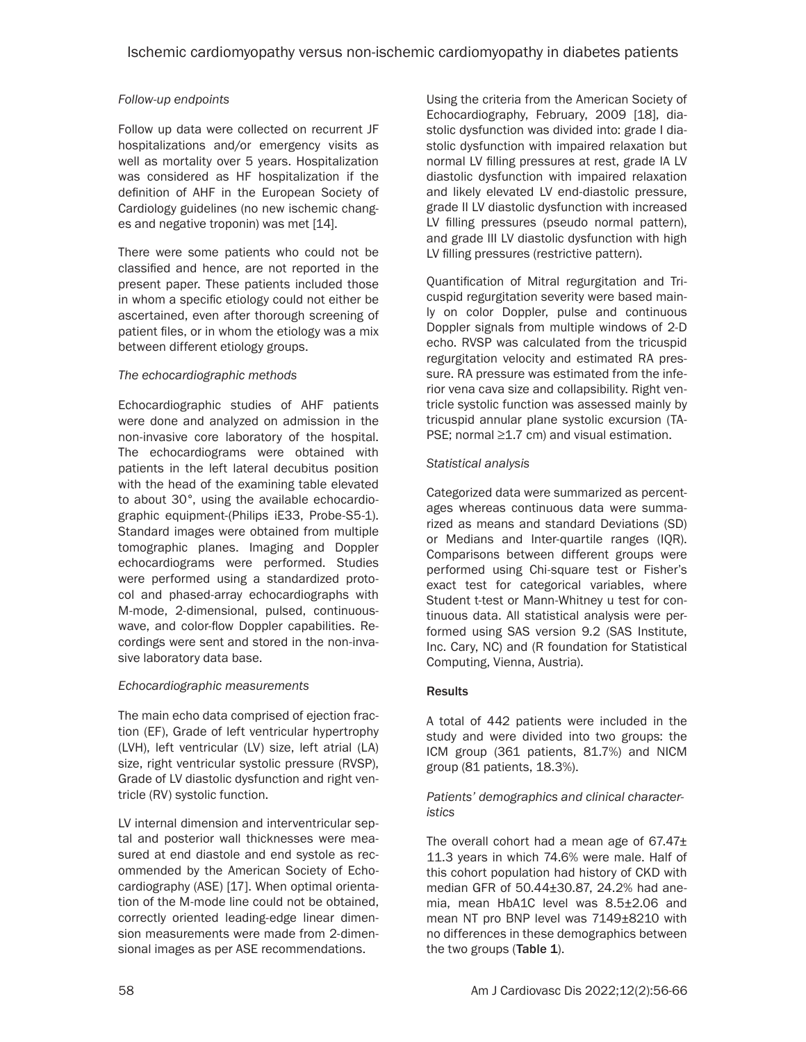## *Follow-up endpoints*

Follow up data were collected on recurrent JF hospitalizations and/or emergency visits as well as mortality over 5 years. Hospitalization was considered as HF hospitalization if the definition of AHF in the European Society of Cardiology guidelines (no new ischemic changes and negative troponin) was met [14].

There were some patients who could not be classified and hence, are not reported in the present paper. These patients included those in whom a specific etiology could not either be ascertained, even after thorough screening of patient files, or in whom the etiology was a mix between different etiology groups.

#### *The echocardiographic methods*

Echocardiographic studies of AHF patients were done and analyzed on admission in the non-invasive core laboratory of the hospital. The echocardiograms were obtained with patients in the left lateral decubitus position with the head of the examining table elevated to about 30°, using the available echocardiographic equipment-(Philips iE33, Probe-S5-1). Standard images were obtained from multiple tomographic planes. Imaging and Doppler echocardiograms were performed. Studies were performed using a standardized protocol and phased-array echocardiographs with M-mode, 2-dimensional, pulsed, continuouswave, and color-flow Doppler capabilities. Recordings were sent and stored in the non-invasive laboratory data base.

#### *Echocardiographic measurements*

The main echo data comprised of ejection fraction (EF), Grade of left ventricular hypertrophy (LVH), left ventricular (LV) size, left atrial (LA) size, right ventricular systolic pressure (RVSP), Grade of LV diastolic dysfunction and right ventricle (RV) systolic function.

LV internal dimension and interventricular septal and posterior wall thicknesses were measured at end diastole and end systole as recommended by the American Society of Echocardiography (ASE) [17]. When optimal orientation of the M-mode line could not be obtained, correctly oriented leading-edge linear dimension measurements were made from 2-dimensional images as per ASE recommendations.

Using the criteria from the American Society of Echocardiography, February, 2009 [18], diastolic dysfunction was divided into: grade I diastolic dysfunction with impaired relaxation but normal LV filling pressures at rest, grade IA LV diastolic dysfunction with impaired relaxation and likely elevated LV end-diastolic pressure, grade II LV diastolic dysfunction with increased LV filling pressures (pseudo normal pattern), and grade III LV diastolic dysfunction with high LV filling pressures (restrictive pattern).

Quantification of Mitral regurgitation and Tricuspid regurgitation severity were based mainly on color Doppler, pulse and continuous Doppler signals from multiple windows of 2-D echo. RVSP was calculated from the tricuspid regurgitation velocity and estimated RA pressure. RA pressure was estimated from the inferior vena cava size and collapsibility. Right ventricle systolic function was assessed mainly by tricuspid annular plane systolic excursion (TA-PSE; normal ≥1.7 cm) and visual estimation.

## *Statistical analysis*

Categorized data were summarized as percentages whereas continuous data were summarized as means and standard Deviations (SD) or Medians and Inter-quartile ranges (IQR). Comparisons between different groups were performed using Chi-square test or Fisher's exact test for categorical variables, where Student t-test or Mann-Whitney u test for continuous data. All statistical analysis were performed using SAS version 9.2 (SAS Institute, Inc. Cary, NC) and (R foundation for Statistical Computing, Vienna, Austria).

## **Results**

A total of 442 patients were included in the study and were divided into two groups: the ICM group (361 patients, 81.7%) and NICM group (81 patients, 18.3%).

#### *Patients' demographics and clinical characteristics*

The overall cohort had a mean age of 67.47± 11.3 years in which 74.6% were male. Half of this cohort population had history of CKD with median GFR of 50.44±30.87, 24.2% had anemia, mean HbA1C level was 8.5±2.06 and mean NT pro BNP level was 7149±8210 with no differences in these demographics between the two groups (Table  $1$ ).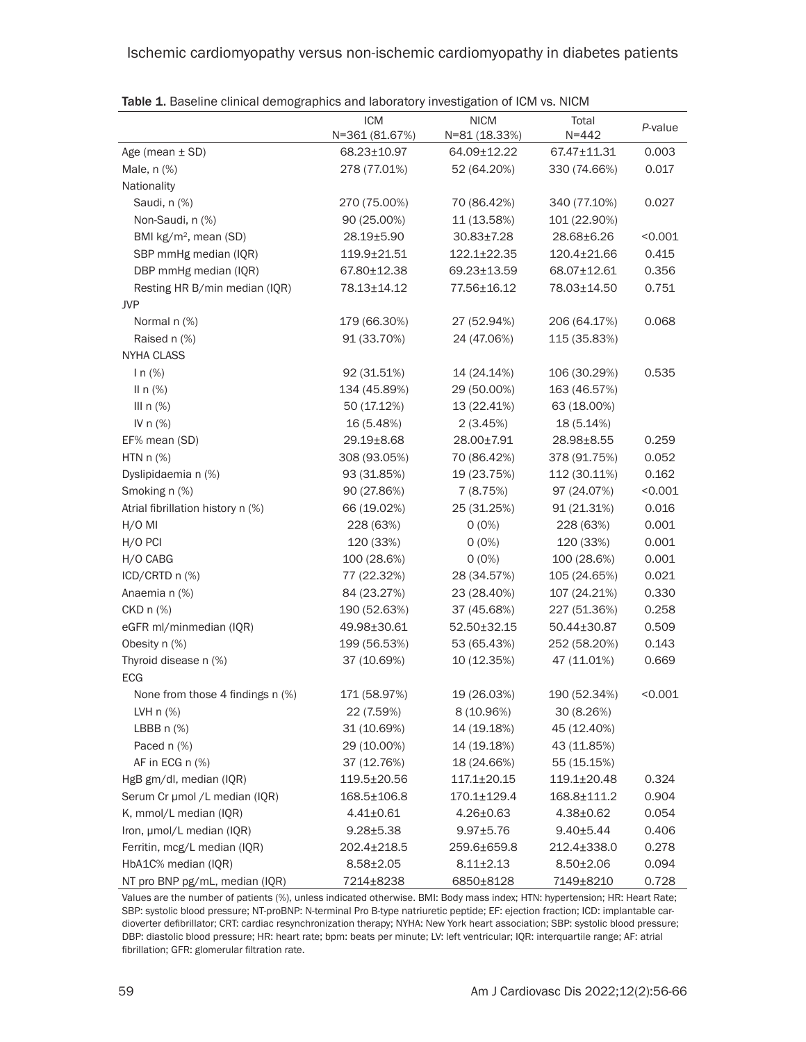| <b>rable 1.</b> Baseline cilincal demographics and laboratory investigation of IGM vs. NiGM |                              |                              |                    |         |  |
|---------------------------------------------------------------------------------------------|------------------------------|------------------------------|--------------------|---------|--|
|                                                                                             | <b>ICM</b><br>N=361 (81.67%) | <b>NICM</b><br>N=81 (18.33%) | Total<br>$N = 442$ | P-value |  |
| Age (mean ± SD)                                                                             | 68.23±10.97                  | 64.09±12.22                  | $67.47 \pm 11.31$  | 0.003   |  |
| Male, n (%)                                                                                 | 278 (77.01%)                 | 52 (64.20%)                  | 330 (74.66%)       | 0.017   |  |
| Nationality                                                                                 |                              |                              |                    |         |  |
| Saudi, n (%)                                                                                | 270 (75.00%)                 | 70 (86.42%)                  | 340 (77.10%)       | 0.027   |  |
| Non-Saudi, n (%)                                                                            | 90 (25.00%)                  | 11 (13.58%)                  | 101 (22.90%)       |         |  |
| BMI kg/m <sup>2</sup> , mean (SD)                                                           | 28.19±5.90                   | $30.83 \pm 7.28$             | 28.68±6.26         | < 0.001 |  |
| SBP mmHg median (IQR)                                                                       | $119.9 + 21.51$              | $122.1 \pm 22.35$            | 120.4±21.66        | 0.415   |  |
| DBP mmHg median (IQR)                                                                       | 67.80±12.38                  | 69.23±13.59                  | 68.07±12.61        | 0.356   |  |
| Resting HR B/min median (IQR)                                                               | 78.13±14.12                  | 77.56±16.12                  | 78.03±14.50        | 0.751   |  |
| <b>JVP</b>                                                                                  |                              |                              |                    |         |  |
| Normal n (%)                                                                                | 179 (66.30%)                 | 27 (52.94%)                  | 206 (64.17%)       | 0.068   |  |
| Raised n (%)                                                                                | 91 (33.70%)                  | 24 (47.06%)                  | 115 (35.83%)       |         |  |
| NYHA CLASS                                                                                  |                              |                              |                    |         |  |
| In $(\%)$                                                                                   | 92 (31.51%)                  | 14 (24.14%)                  | 106 (30.29%)       | 0.535   |  |
| II $n$ (%)                                                                                  | 134 (45.89%)                 | 29 (50.00%)                  | 163 (46.57%)       |         |  |
| III $n$ (%)                                                                                 | 50 (17.12%)                  | 13 (22.41%)                  | 63 (18.00%)        |         |  |
| IV $n$ (%)                                                                                  | 16 (5.48%)                   | 2(3.45%)                     | 18 (5.14%)         |         |  |
| EF% mean (SD)                                                                               | 29.19±8.68                   | 28.00±7.91                   | 28.98±8.55         | 0.259   |  |
| HTN $n$ (%)                                                                                 | 308 (93.05%)                 | 70 (86.42%)                  | 378 (91.75%)       | 0.052   |  |
| Dyslipidaemia n (%)                                                                         | 93 (31.85%)                  | 19 (23.75%)                  | 112 (30.11%)       | 0.162   |  |
| Smoking n (%)                                                                               | 90 (27.86%)                  | 7 (8.75%)                    | 97 (24.07%)        | < 0.001 |  |
| Atrial fibrillation history n (%)                                                           | 66 (19.02%)                  | 25 (31.25%)                  | 91 (21.31%)        | 0.016   |  |
| $H/O$ MI                                                                                    | 228 (63%)                    | $0(0\%)$                     | 228 (63%)          | 0.001   |  |
| H/O PCI                                                                                     | 120 (33%)                    | $0(0\%)$                     | 120 (33%)          | 0.001   |  |
| H/O CABG                                                                                    | 100 (28.6%)                  | $O(0\%)$                     | 100 (28.6%)        | 0.001   |  |
| ICD/CRTD n (%)                                                                              | 77 (22.32%)                  | 28 (34.57%)                  | 105 (24.65%)       | 0.021   |  |
| Anaemia n (%)                                                                               | 84 (23.27%)                  | 23 (28.40%)                  | 107 (24.21%)       | 0.330   |  |
| CKD n (%)                                                                                   | 190 (52.63%)                 | 37 (45.68%)                  | 227 (51.36%)       | 0.258   |  |
| eGFR ml/minmedian (IQR)                                                                     | 49.98±30.61                  | 52.50±32.15                  | 50.44±30.87        | 0.509   |  |
| Obesity n (%)                                                                               | 199 (56.53%)                 | 53 (65.43%)                  | 252 (58.20%)       | 0.143   |  |
| Thyroid disease n (%)                                                                       | 37 (10.69%)                  | 10 (12.35%)                  | 47 (11.01%)        | 0.669   |  |
| ECG                                                                                         |                              |                              |                    |         |  |
| None from those 4 findings n (%)                                                            | 171 (58.97%)                 | 19 (26.03%)                  | 190 (52.34%)       | < 0.001 |  |
| LVH $n$ $%$                                                                                 | 22 (7.59%)                   | 8 (10.96%)                   | 30 (8.26%)         |         |  |
| LBBB $n$ $%$                                                                                | 31 (10.69%)                  | 14 (19.18%)                  | 45 (12.40%)        |         |  |
| Paced n (%)                                                                                 | 29 (10.00%)                  | 14 (19.18%)                  | 43 (11.85%)        |         |  |
| AF in ECG n (%)                                                                             | 37 (12.76%)                  | 18 (24.66%)                  | 55 (15.15%)        |         |  |
| HgB gm/dl, median (IQR)                                                                     | 119.5±20.56                  | $117.1 \pm 20.15$            | 119.1±20.48        | 0.324   |  |
| Serum Cr µmol /L median (IQR)                                                               | 168.5±106.8                  | 170.1±129.4                  | 168.8±111.2        | 0.904   |  |
| K, mmol/L median (IQR)                                                                      | $4.41 \pm 0.61$              | $4.26 \pm 0.63$              | $4.38 \pm 0.62$    | 0.054   |  |
| Iron, µmol/L median (IQR)                                                                   | $9.28 \pm 5.38$              | $9.97 + 5.76$                | $9.40 + 5.44$      | 0.406   |  |
| Ferritin, mcg/L median (IQR)                                                                | 202.4±218.5                  | 259.6±659.8                  | 212.4±338.0        | 0.278   |  |
| HbA1C% median (IQR)                                                                         | $8.58 \pm 2.05$              | $8.11 \pm 2.13$              | $8.50 \pm 2.06$    | 0.094   |  |
| NT pro BNP pg/mL, median (IQR)                                                              | 7214±8238                    | 6850±8128                    | 7149±8210          | 0.728   |  |

Table 1. Baseline clinical demographics and laboratory investigation of ICM vs. NICM

Values are the number of patients (%), unless indicated otherwise. BMI: Body mass index; HTN: hypertension; HR: Heart Rate; SBP: systolic blood pressure; NT-proBNP: N-terminal Pro B-type natriuretic peptide; EF: ejection fraction; ICD: implantable cardioverter defibrillator; CRT: cardiac resynchronization therapy; NYHA: New York heart association; SBP: systolic blood pressure; DBP: diastolic blood pressure; HR: heart rate; bpm: beats per minute; LV: left ventricular; IQR: interquartile range; AF: atrial fibrillation; GFR: glomerular filtration rate.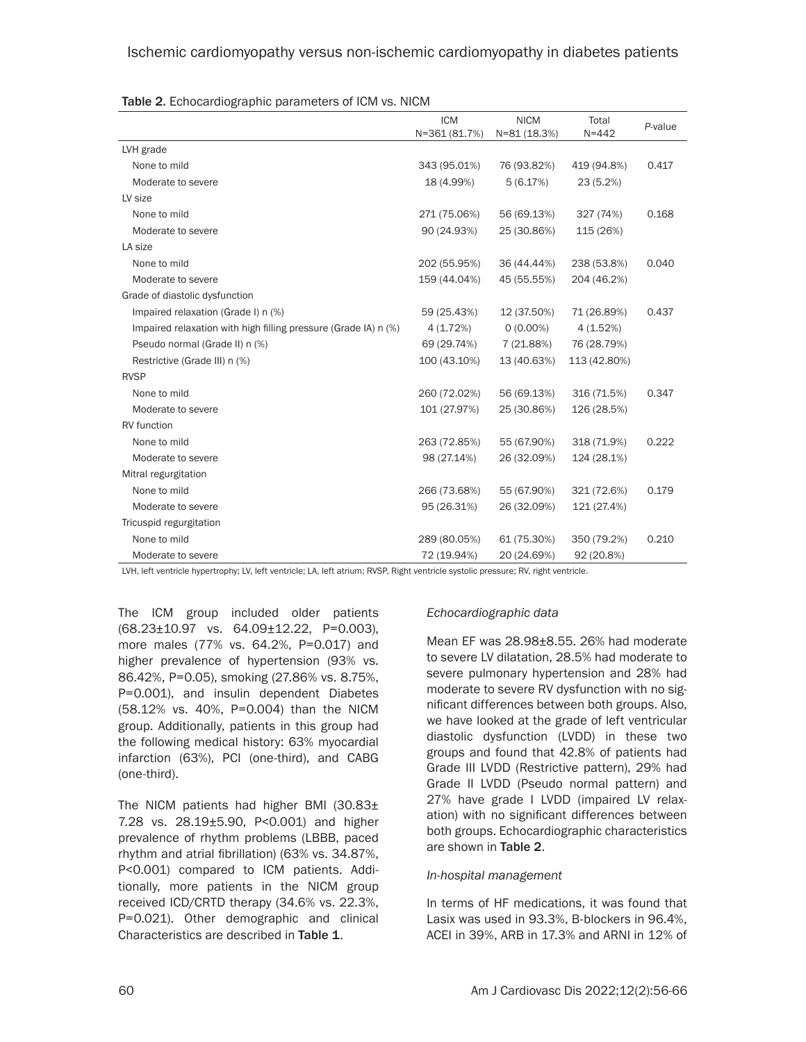|                                                                 | <b>ICM</b><br>N=361 (81.7%) | <b>NICM</b><br>N=81 (18.3%) | Total<br>$N = 442$ | P-value |
|-----------------------------------------------------------------|-----------------------------|-----------------------------|--------------------|---------|
| LVH grade                                                       |                             |                             |                    |         |
| None to mild                                                    | 343 (95.01%)                | 76 (93.82%)                 | 419 (94.8%)        | 0.417   |
| Moderate to severe                                              | 18 (4.99%)                  | 5(6.17%)                    | 23 (5.2%)          |         |
| LV size                                                         |                             |                             |                    |         |
| None to mild                                                    | 271 (75.06%)                | 56 (69.13%)                 | 327 (74%)          | 0.168   |
| Moderate to severe                                              | 90 (24.93%)                 | 25 (30.86%)                 | 115 (26%)          |         |
| LA size                                                         |                             |                             |                    |         |
| None to mild                                                    | 202 (55.95%)                | 36 (44.44%)                 | 238 (53.8%)        | 0.040   |
| Moderate to severe                                              | 159 (44.04%)                | 45 (55.55%)                 | 204 (46.2%)        |         |
| Grade of diastolic dysfunction                                  |                             |                             |                    |         |
| Impaired relaxation (Grade I) n (%)                             | 59 (25.43%)                 | 12 (37.50%)                 | 71 (26.89%)        | 0.437   |
| Impaired relaxation with high filling pressure (Grade IA) n (%) | 4(1.72%)                    | $0(0.00\%)$                 | 4(1.52%)           |         |
| Pseudo normal (Grade II) n (%)                                  | 69 (29.74%)                 | 7 (21.88%)                  | 76 (28.79%)        |         |
| Restrictive (Grade III) n (%)                                   | 100 (43.10%)                | 13 (40.63%)                 | 113 (42.80%)       |         |
| <b>RVSP</b>                                                     |                             |                             |                    |         |
| None to mild                                                    | 260 (72.02%)                | 56 (69.13%)                 | 316 (71.5%)        | 0.347   |
| Moderate to severe                                              | 101 (27.97%)                | 25 (30.86%)                 | 126 (28.5%)        |         |
| <b>RV</b> function                                              |                             |                             |                    |         |
| None to mild                                                    | 263 (72.85%)                | 55 (67.90%)                 | 318 (71.9%)        | 0.222   |
| Moderate to severe                                              | 98 (27.14%)                 | 26 (32.09%)                 | 124 (28.1%)        |         |
| Mitral regurgitation                                            |                             |                             |                    |         |
| None to mild                                                    | 266 (73.68%)                | 55 (67.90%)                 | 321 (72.6%)        | 0.179   |
| Moderate to severe                                              | 95 (26.31%)                 | 26 (32.09%)                 | 121 (27.4%)        |         |
| Tricuspid regurgitation                                         |                             |                             |                    |         |
| None to mild                                                    | 289 (80.05%)                | 61 (75.30%)                 | 350 (79.2%)        | 0.210   |
| Moderate to severe                                              | 72 (19.94%)                 | 20 (24.69%)                 | 92 (20.8%)         |         |

| Table 2. Echocardiographic parameters of ICM vs. NICM |  |  |  |  |
|-------------------------------------------------------|--|--|--|--|
|-------------------------------------------------------|--|--|--|--|

LVH, left ventricle hypertrophy; LV, left ventricle; LA, left atrium; RVSP, Right ventricle systolic pressure; RV, right ventricle.

The ICM group included older patients (68.23±10.97 vs. 64.09±12.22, P=0.003), more males (77% vs. 64.2%, P=0.017) and higher prevalence of hypertension (93% vs. 86.42%, P=0.05), smoking (27.86% vs. 8.75%, P=0.001), and insulin dependent Diabetes (58.12% vs. 40%, P=0.004) than the NICM group. Additionally, patients in this group had the following medical history: 63% myocardial infarction (63%), PCI (one-third), and CABG (one-third).

The NICM patients had higher BMI (30.83± 7.28 vs. 28.19±5.90, P<0.001) and higher prevalence of rhythm problems (LBBB, paced rhythm and atrial fibrillation) (63% vs. 34.87%, P<0.001) compared to ICM patients. Additionally, more patients in the NICM group received ICD/CRTD therapy (34.6% vs. 22.3%, P=0.021). Other demographic and clinical Characteristics are described in Table 1.

#### *Echocardiographic data*

Mean EF was 28.98±8.55. 26% had moderate to severe LV dilatation, 28.5% had moderate to severe pulmonary hypertension and 28% had moderate to severe RV dysfunction with no significant differences between both groups. Also, we have looked at the grade of left ventricular diastolic dysfunction (LVDD) in these two groups and found that 42.8% of patients had Grade III LVDD (Restrictive pattern), 29% had Grade II LVDD (Pseudo normal pattern) and 27% have grade I LVDD (impaired LV relaxation) with no significant differences between both groups. Echocardiographic characteristics are shown in Table 2.

#### *In-hospital management*

In terms of HF medications, it was found that Lasix was used in 93.3%, B-blockers in 96.4%, ACEI in 39%, ARB in 17.3% and ARNI in 12% of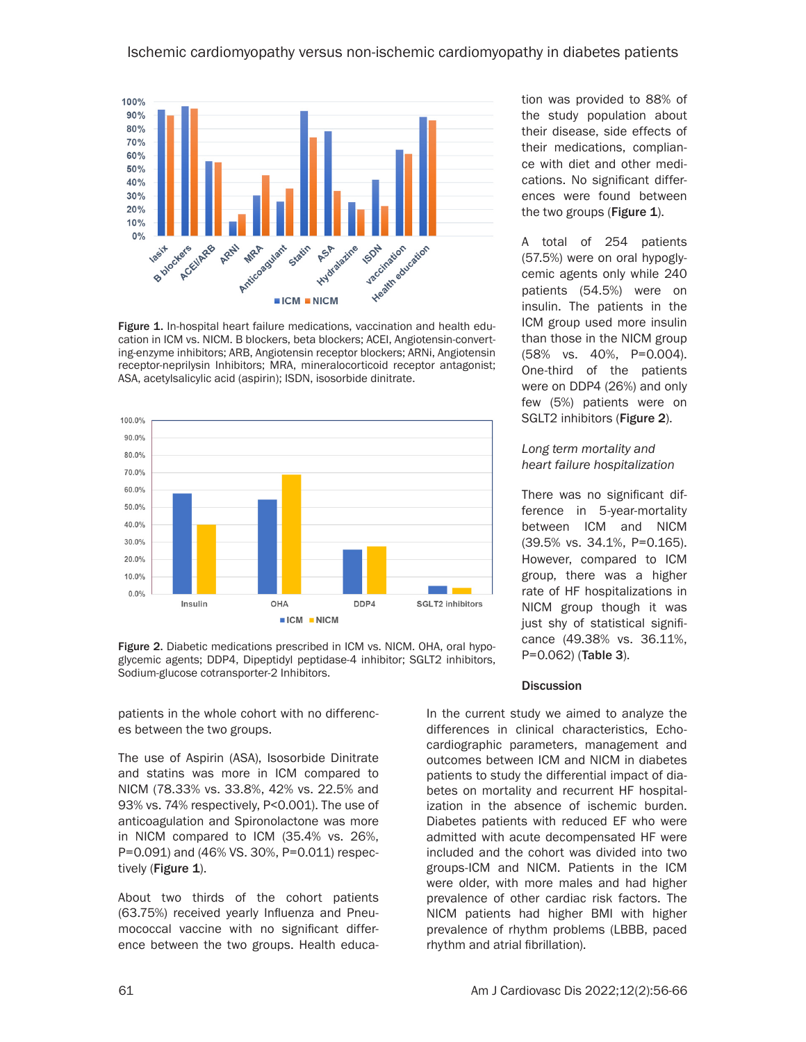

Figure 1. In-hospital heart failure medications, vaccination and health education in ICM vs. NICM. B blockers, beta blockers; ACEI, Angiotensin-converting-enzyme inhibitors; ARB, Angiotensin receptor blockers; ARNi, Angiotensin receptor-neprilysin Inhibitors; MRA, mineralocorticoid receptor antagonist; ASA, acetylsalicylic acid (aspirin); ISDN, isosorbide dinitrate.



Figure 2. Diabetic medications prescribed in ICM vs. NICM. OHA, oral hypoglycemic agents; DDP4, Dipeptidyl peptidase-4 inhibitor; SGLT2 inhibitors, Sodium-glucose cotransporter-2 Inhibitors.

patients in the whole cohort with no differences between the two groups.

The use of Aspirin (ASA), Isosorbide Dinitrate and statins was more in ICM compared to NICM (78.33% vs. 33.8%, 42% vs. 22.5% and 93% vs. 74% respectively, P<0.001). The use of anticoagulation and Spironolactone was more in NICM compared to ICM (35.4% vs. 26%, P=0.091) and (46% VS. 30%, P=0.011) respectively (Figure  $1$ ).

About two thirds of the cohort patients (63.75%) received yearly Influenza and Pneumococcal vaccine with no significant difference between the two groups. Health education was provided to 88% of the study population about their disease, side effects of their medications, compliance with diet and other medications. No significant differences were found between the two groups (Figure  $1$ ).

A total of 254 patients (57.5%) were on oral hypoglycemic agents only while 240 patients (54.5%) were on insulin. The patients in the ICM group used more insulin than those in the NICM group (58% vs. 40%, P=0.004). One-third of the patients were on DDP4 (26%) and only few (5%) patients were on SGLT2 inhibitors (Figure 2).

#### *Long term mortality and heart failure hospitalization*

There was no significant difference in 5-year-mortality between ICM and NICM (39.5% vs. 34.1%, P=0.165). However, compared to ICM group, there was a higher rate of HF hospitalizations in NICM group though it was just shy of statistical significance (49.38% vs. 36.11%, P=0.062) (Table 3).

#### **Discussion**

In the current study we aimed to analyze the differences in clinical characteristics, Echocardiographic parameters, management and outcomes between ICM and NICM in diabetes patients to study the differential impact of diabetes on mortality and recurrent HF hospitalization in the absence of ischemic burden. Diabetes patients with reduced EF who were admitted with acute decompensated HF were included and the cohort was divided into two groups-ICM and NICM. Patients in the ICM were older, with more males and had higher prevalence of other cardiac risk factors. The NICM patients had higher BMI with higher prevalence of rhythm problems (LBBB, paced rhythm and atrial fibrillation).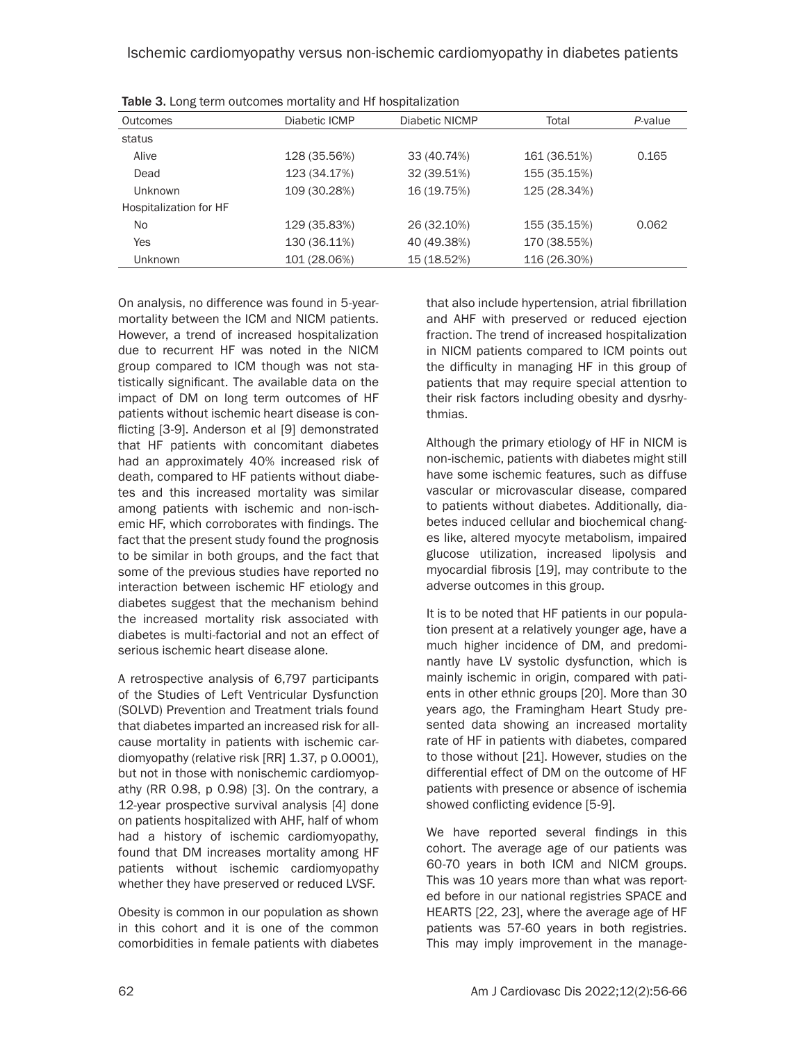Ischemic cardiomyopathy versus non-ischemic cardiomyopathy in diabetes patients

| <b>Outcomes</b>        | Diabetic ICMP | Diabetic NICMP | Total        | P-value |  |
|------------------------|---------------|----------------|--------------|---------|--|
| status                 |               |                |              |         |  |
| Alive                  | 128 (35.56%)  | 33 (40.74%)    | 161 (36.51%) | 0.165   |  |
| Dead                   | 123 (34.17%)  | 32 (39.51%)    | 155 (35.15%) |         |  |
| Unknown                | 109 (30.28%)  | 16 (19.75%)    | 125 (28.34%) |         |  |
| Hospitalization for HF |               |                |              |         |  |
| No.                    | 129 (35.83%)  | 26 (32.10%)    | 155 (35.15%) | 0.062   |  |
| Yes                    | 130 (36.11%)  | 40 (49.38%)    | 170 (38.55%) |         |  |
| <b>Unknown</b>         | 101 (28.06%)  | 15 (18.52%)    | 116 (26.30%) |         |  |

Table 3. Long term outcomes mortality and Hf hospitalization

On analysis, no difference was found in 5-yearmortality between the ICM and NICM patients. However, a trend of increased hospitalization due to recurrent HF was noted in the NICM group compared to ICM though was not statistically significant. The available data on the impact of DM on long term outcomes of HF patients without ischemic heart disease is conflicting [3-9]. Anderson et al [9] demonstrated that HF patients with concomitant diabetes had an approximately 40% increased risk of death, compared to HF patients without diabetes and this increased mortality was similar among patients with ischemic and non-ischemic HF, which corroborates with findings. The fact that the present study found the prognosis to be similar in both groups, and the fact that some of the previous studies have reported no interaction between ischemic HF etiology and diabetes suggest that the mechanism behind the increased mortality risk associated with diabetes is multi-factorial and not an effect of serious ischemic heart disease alone.

A retrospective analysis of 6,797 participants of the Studies of Left Ventricular Dysfunction (SOLVD) Prevention and Treatment trials found that diabetes imparted an increased risk for allcause mortality in patients with ischemic cardiomyopathy (relative risk [RR] 1.37, p 0.0001), but not in those with nonischemic cardiomyopathy (RR 0.98, p 0.98) [3]. On the contrary, a 12-year prospective survival analysis [4] done on patients hospitalized with AHF, half of whom had a history of ischemic cardiomyopathy, found that DM increases mortality among HF patients without ischemic cardiomyopathy whether they have preserved or reduced LVSF.

Obesity is common in our population as shown in this cohort and it is one of the common comorbidities in female patients with diabetes

that also include hypertension, atrial fibrillation and AHF with preserved or reduced ejection fraction. The trend of increased hospitalization in NICM patients compared to ICM points out the difficulty in managing HF in this group of patients that may require special attention to their risk factors including obesity and dysrhythmias.

Although the primary etiology of HF in NICM is non-ischemic, patients with diabetes might still have some ischemic features, such as diffuse vascular or microvascular disease, compared to patients without diabetes. Additionally, diabetes induced cellular and biochemical changes like, altered myocyte metabolism, impaired glucose utilization, increased lipolysis and myocardial fibrosis [19], may contribute to the adverse outcomes in this group.

It is to be noted that HF patients in our population present at a relatively younger age, have a much higher incidence of DM, and predominantly have LV systolic dysfunction, which is mainly ischemic in origin, compared with patients in other ethnic groups [20]. More than 30 years ago, the Framingham Heart Study presented data showing an increased mortality rate of HF in patients with diabetes, compared to those without [21]. However, studies on the differential effect of DM on the outcome of HF patients with presence or absence of ischemia showed conflicting evidence [5-9].

We have reported several findings in this cohort. The average age of our patients was 60-70 years in both ICM and NICM groups. This was 10 years more than what was reported before in our national registries SPACE and HEARTS [22, 23], where the average age of HF patients was 57-60 years in both registries. This may imply improvement in the manage-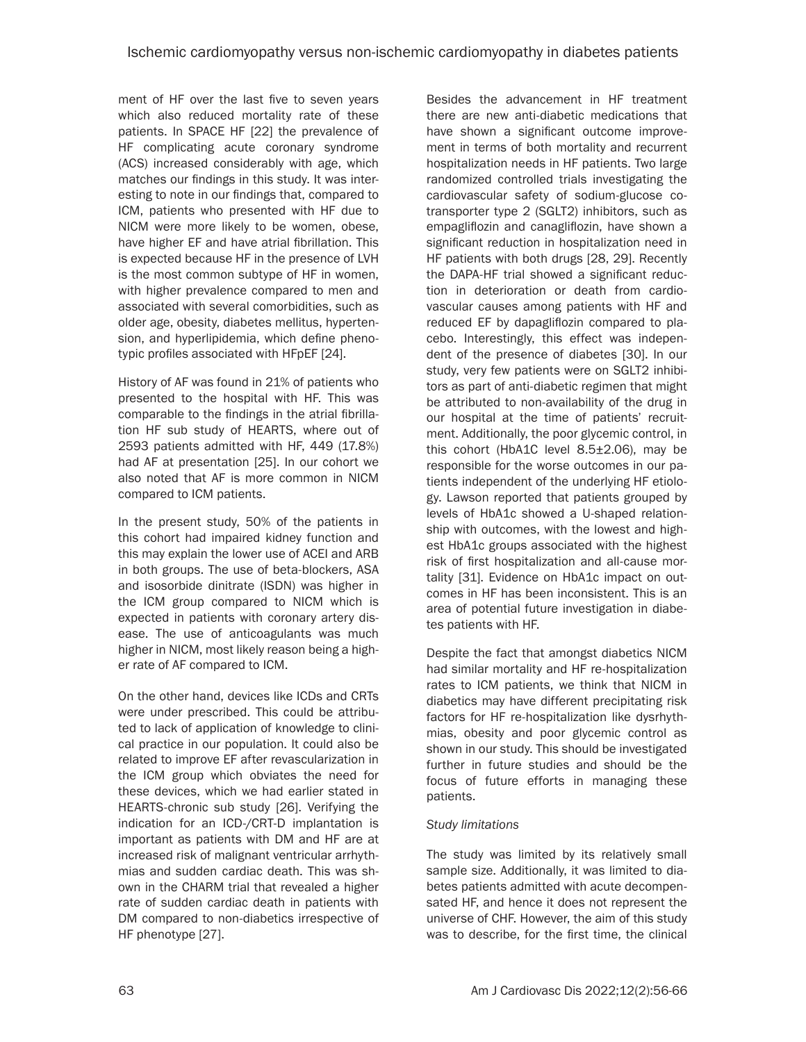ment of HF over the last five to seven years which also reduced mortality rate of these patients. In SPACE HF [22] the prevalence of HF complicating acute coronary syndrome (ACS) increased considerably with age, which matches our findings in this study. It was interesting to note in our findings that, compared to ICM, patients who presented with HF due to NICM were more likely to be women, obese, have higher EF and have atrial fibrillation. This is expected because HF in the presence of LVH is the most common subtype of HF in women, with higher prevalence compared to men and associated with several comorbidities, such as older age, obesity, diabetes mellitus, hypertension, and hyperlipidemia, which define phenotypic profiles associated with HFpEF [24].

History of AF was found in 21% of patients who presented to the hospital with HF. This was comparable to the findings in the atrial fibrillation HF sub study of HEARTS, where out of 2593 patients admitted with HF, 449 (17.8%) had AF at presentation [25]. In our cohort we also noted that AF is more common in NICM compared to ICM patients.

In the present study, 50% of the patients in this cohort had impaired kidney function and this may explain the lower use of ACEI and ARB in both groups. The use of beta-blockers, ASA and isosorbide dinitrate (ISDN) was higher in the ICM group compared to NICM which is expected in patients with coronary artery disease. The use of anticoagulants was much higher in NICM, most likely reason being a higher rate of AF compared to ICM.

On the other hand, devices like ICDs and CRTs were under prescribed. This could be attributed to lack of application of knowledge to clinical practice in our population. It could also be related to improve EF after revascularization in the ICM group which obviates the need for these devices, which we had earlier stated in HEARTS-chronic sub study [26]. Verifying the indication for an ICD-/CRT-D implantation is important as patients with DM and HF are at increased risk of malignant ventricular arrhythmias and sudden cardiac death. This was shown in the CHARM trial that revealed a higher rate of sudden cardiac death in patients with DM compared to non-diabetics irrespective of HF phenotype [27].

Besides the advancement in HF treatment there are new anti-diabetic medications that have shown a significant outcome improvement in terms of both mortality and recurrent hospitalization needs in HF patients. Two large randomized controlled trials investigating the cardiovascular safety of sodium-glucose cotransporter type 2 (SGLT2) inhibitors, such as empagliflozin and canagliflozin, have shown a significant reduction in hospitalization need in HF patients with both drugs [28, 29]. Recently the DAPA-HF trial showed a significant reduction in deterioration or death from cardiovascular causes among patients with HF and reduced EF by dapagliflozin compared to placebo. Interestingly, this effect was independent of the presence of diabetes [30]. In our study, very few patients were on SGLT2 inhibitors as part of anti-diabetic regimen that might be attributed to non-availability of the drug in our hospital at the time of patients' recruitment. Additionally, the poor glycemic control, in this cohort (HbA1C level 8.5±2.06), may be responsible for the worse outcomes in our patients independent of the underlying HF etiology. Lawson reported that patients grouped by levels of HbA1c showed a U-shaped relationship with outcomes, with the lowest and highest HbA1c groups associated with the highest risk of first hospitalization and all-cause mortality [31]. Evidence on HbA1c impact on outcomes in HF has been inconsistent. This is an area of potential future investigation in diabetes patients with HF.

Despite the fact that amongst diabetics NICM had similar mortality and HF re-hospitalization rates to ICM patients, we think that NICM in diabetics may have different precipitating risk factors for HF re-hospitalization like dysrhythmias, obesity and poor glycemic control as shown in our study. This should be investigated further in future studies and should be the focus of future efforts in managing these patients.

## *Study limitations*

The study was limited by its relatively small sample size. Additionally, it was limited to diabetes patients admitted with acute decompensated HF, and hence it does not represent the universe of CHF. However, the aim of this study was to describe, for the first time, the clinical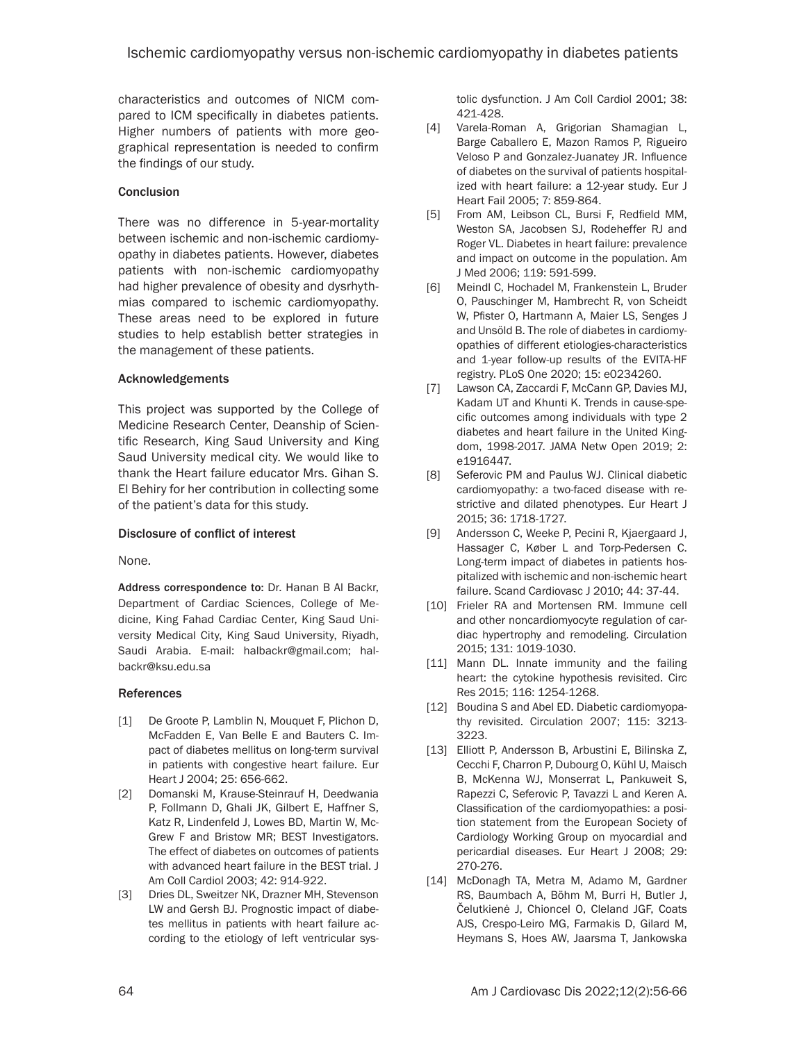characteristics and outcomes of NICM compared to ICM specifically in diabetes patients. Higher numbers of patients with more geographical representation is needed to confirm the findings of our study.

## **Conclusion**

There was no difference in 5-year-mortality between ischemic and non-ischemic cardiomyopathy in diabetes patients. However, diabetes patients with non-ischemic cardiomyopathy had higher prevalence of obesity and dysrhythmias compared to ischemic cardiomyopathy. These areas need to be explored in future studies to help establish better strategies in the management of these patients.

#### Acknowledgements

This project was supported by the College of Medicine Research Center, Deanship of Scientific Research, King Saud University and King Saud University medical city. We would like to thank the Heart failure educator Mrs. Gihan S. El Behiry for her contribution in collecting some of the patient's data for this study.

#### Disclosure of conflict of interest

None.

Address correspondence to: Dr. Hanan B Al Backr, Department of Cardiac Sciences, College of Medicine, King Fahad Cardiac Center, King Saud University Medical City, King Saud University, Riyadh, Saudi Arabia. E-mail: [halbackr@gmail.com](mailto:halbackr@gmail.com); [hal](mailto:halbackr@ksu.edu.sa)[backr@ksu.edu.sa](mailto:halbackr@ksu.edu.sa)

#### **References**

- [1] De Groote P, Lamblin N, Mouquet F, Plichon D, McFadden E, Van Belle E and Bauters C. Impact of diabetes mellitus on long-term survival in patients with congestive heart failure. Eur Heart J 2004; 25: 656-662.
- [2] Domanski M, Krause-Steinrauf H, Deedwania P, Follmann D, Ghali JK, Gilbert E, Haffner S, Katz R, Lindenfeld J, Lowes BD, Martin W, Mc-Grew F and Bristow MR; BEST Investigators. The effect of diabetes on outcomes of patients with advanced heart failure in the BEST trial. J Am Coll Cardiol 2003; 42: 914-922.
- [3] Dries DL, Sweitzer NK, Drazner MH, Stevenson LW and Gersh BJ. Prognostic impact of diabetes mellitus in patients with heart failure according to the etiology of left ventricular sys-

tolic dysfunction. J Am Coll Cardiol 2001; 38: 421-428.

- [4] Varela-Roman A, Grigorian Shamagian L, Barge Caballero E, Mazon Ramos P, Rigueiro Veloso P and Gonzalez-Juanatey JR. Influence of diabetes on the survival of patients hospitalized with heart failure: a 12-year study. Eur J Heart Fail 2005; 7: 859-864.
- [5] From AM, Leibson CL, Bursi F, Redfield MM, Weston SA, Jacobsen SJ, Rodeheffer RJ and Roger VL. Diabetes in heart failure: prevalence and impact on outcome in the population. Am J Med 2006; 119: 591-599.
- [6] Meindl C, Hochadel M, Frankenstein L, Bruder O, Pauschinger M, Hambrecht R, von Scheidt W, Pfister O, Hartmann A, Maier LS, Senges J and Unsöld B. The role of diabetes in cardiomyopathies of different etiologies-characteristics and 1-year follow-up results of the EVITA-HF registry. PLoS One 2020; 15: e0234260.
- [7] Lawson CA, Zaccardi F, McCann GP, Davies MJ, Kadam UT and Khunti K. Trends in cause-specific outcomes among individuals with type 2 diabetes and heart failure in the United Kingdom, 1998-2017. JAMA Netw Open 2019; 2: e1916447.
- [8] Seferovic PM and Paulus WJ. Clinical diabetic cardiomyopathy: a two-faced disease with restrictive and dilated phenotypes. Eur Heart J 2015; 36: 1718-1727.
- [9] Andersson C, Weeke P, Pecini R, Kjaergaard J, Hassager C, Køber L and Torp-Pedersen C. Long-term impact of diabetes in patients hospitalized with ischemic and non-ischemic heart failure. Scand Cardiovasc J 2010; 44: 37-44.
- [10] Frieler RA and Mortensen RM. Immune cell and other noncardiomyocyte regulation of cardiac hypertrophy and remodeling. Circulation 2015; 131: 1019-1030.
- [11] Mann DL. Innate immunity and the failing heart: the cytokine hypothesis revisited. Circ Res 2015; 116: 1254-1268.
- [12] Boudina S and Abel ED. Diabetic cardiomyopathy revisited. Circulation 2007; 115: 3213- 3223.
- [13] Elliott P, Andersson B, Arbustini E, Bilinska Z, Cecchi F, Charron P, Dubourg O, Kühl U, Maisch B, McKenna WJ, Monserrat L, Pankuweit S, Rapezzi C, Seferovic P, Tavazzi L and Keren A. Classification of the cardiomyopathies: a position statement from the European Society of Cardiology Working Group on myocardial and pericardial diseases. Eur Heart J 2008; 29: 270-276.
- [14] McDonagh TA, Metra M, Adamo M, Gardner RS, Baumbach A, Böhm M, Burri H, Butler J, Čelutkienė J, Chioncel O, Cleland JGF, Coats AJS, Crespo-Leiro MG, Farmakis D, Gilard M, Heymans S, Hoes AW, Jaarsma T, Jankowska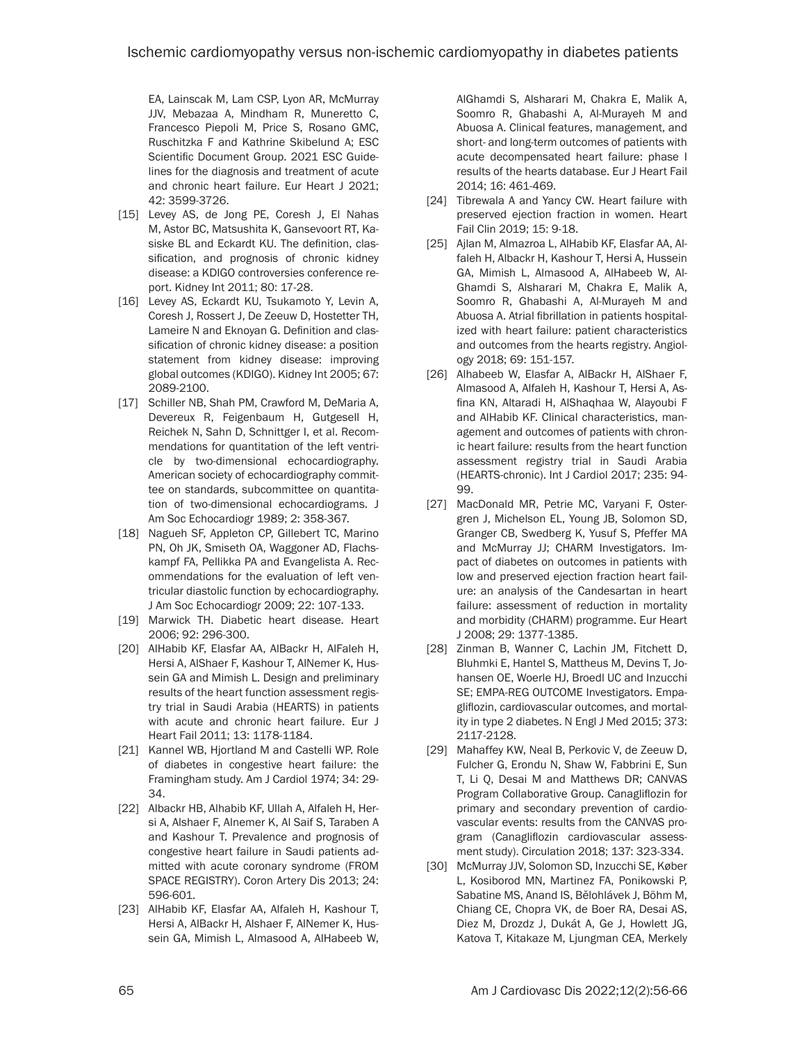EA, Lainscak M, Lam CSP, Lyon AR, McMurray JJV, Mebazaa A, Mindham R, Muneretto C, Francesco Piepoli M, Price S, Rosano GMC, Ruschitzka F and Kathrine Skibelund A; ESC Scientific Document Group. 2021 ESC Guidelines for the diagnosis and treatment of acute and chronic heart failure. Eur Heart J 2021; 42: 3599-3726.

- [15] Levey AS, de Jong PE, Coresh J, El Nahas M, Astor BC, Matsushita K, Gansevoort RT, Kasiske BL and Eckardt KU. The definition, classification, and prognosis of chronic kidney disease: a KDIGO controversies conference report. Kidney Int 2011; 80: 17-28.
- [16] Levey AS, Eckardt KU, Tsukamoto Y, Levin A, Coresh J, Rossert J, De Zeeuw D, Hostetter TH, Lameire N and Eknoyan G. Definition and classification of chronic kidney disease: a position statement from kidney disease: improving global outcomes (KDIGO). Kidney Int 2005; 67: 2089-2100.
- [17] Schiller NB, Shah PM, Crawford M, DeMaria A, Devereux R, Feigenbaum H, Gutgesell H, Reichek N, Sahn D, Schnittger I, et al. Recommendations for quantitation of the left ventricle by two-dimensional echocardiography. American society of echocardiography committee on standards, subcommittee on quantitation of two-dimensional echocardiograms. J Am Soc Echocardiogr 1989; 2: 358-367.
- [18] Nagueh SF, Appleton CP, Gillebert TC, Marino PN, Oh JK, Smiseth OA, Waggoner AD, Flachskampf FA, Pellikka PA and Evangelista A. Recommendations for the evaluation of left ventricular diastolic function by echocardiography. J Am Soc Echocardiogr 2009; 22: 107-133.
- [19] Marwick TH. Diabetic heart disease. Heart 2006; 92: 296-300.
- [20] AlHabib KF, Elasfar AA, AlBackr H, AlFaleh H, Hersi A, AlShaer F, Kashour T, AlNemer K, Hussein GA and Mimish L. Design and preliminary results of the heart function assessment registry trial in Saudi Arabia (HEARTS) in patients with acute and chronic heart failure. Eur J Heart Fail 2011; 13: 1178-1184.
- [21] Kannel WB, Hjortland M and Castelli WP. Role of diabetes in congestive heart failure: the Framingham study. Am J Cardiol 1974; 34: 29- 34.
- [22] Albackr HB, Alhabib KF, Ullah A, Alfaleh H, Hersi A, Alshaer F, Alnemer K, Al Saif S, Taraben A and Kashour T. Prevalence and prognosis of congestive heart failure in Saudi patients admitted with acute coronary syndrome (FROM SPACE REGISTRY). Coron Artery Dis 2013; 24: 596-601.
- [23] AlHabib KF, Elasfar AA, Alfaleh H, Kashour T, Hersi A, AlBackr H, Alshaer F, AlNemer K, Hussein GA, Mimish L, Almasood A, AlHabeeb W,

AlGhamdi S, Alsharari M, Chakra E, Malik A, Soomro R, Ghabashi A, Al-Murayeh M and Abuosa A. Clinical features, management, and short- and long-term outcomes of patients with acute decompensated heart failure: phase I results of the hearts database. Eur J Heart Fail 2014; 16: 461-469.

- [24] Tibrewala A and Yancy CW. Heart failure with preserved ejection fraction in women. Heart Fail Clin 2019; 15: 9-18.
- [25] Ajlan M, Almazroa L, AlHabib KF, Elasfar AA, Alfaleh H, Albackr H, Kashour T, Hersi A, Hussein GA, Mimish L, Almasood A, AlHabeeb W, Al-Ghamdi S, Alsharari M, Chakra E, Malik A, Soomro R, Ghabashi A, Al-Murayeh M and Abuosa A. Atrial fibrillation in patients hospitalized with heart failure: patient characteristics and outcomes from the hearts registry. Angiology 2018; 69: 151-157.
- [26] Alhabeeb W, Elasfar A, AlBackr H, AlShaer F, Almasood A, Alfaleh H, Kashour T, Hersi A, Asfina KN, Altaradi H, AlShaqhaa W, Alayoubi F and AlHabib KF. Clinical characteristics, management and outcomes of patients with chronic heart failure: results from the heart function assessment registry trial in Saudi Arabia (HEARTS-chronic). Int J Cardiol 2017; 235: 94- 99.
- [27] MacDonald MR, Petrie MC, Varyani F, Ostergren J, Michelson EL, Young JB, Solomon SD, Granger CB, Swedberg K, Yusuf S, Pfeffer MA and McMurray JJ; CHARM Investigators. Impact of diabetes on outcomes in patients with low and preserved ejection fraction heart failure: an analysis of the Candesartan in heart failure: assessment of reduction in mortality and morbidity (CHARM) programme. Eur Heart J 2008; 29: 1377-1385.
- [28] Zinman B, Wanner C, Lachin JM, Fitchett D, Bluhmki E, Hantel S, Mattheus M, Devins T, Johansen OE, Woerle HJ, Broedl UC and Inzucchi SE; EMPA-REG OUTCOME Investigators. Empagliflozin, cardiovascular outcomes, and mortality in type 2 diabetes. N Engl J Med 2015; 373: 2117-2128.
- [29] Mahaffey KW, Neal B, Perkovic V, de Zeeuw D, Fulcher G, Erondu N, Shaw W, Fabbrini E, Sun T, Li Q, Desai M and Matthews DR; CANVAS Program Collaborative Group. Canagliflozin for primary and secondary prevention of cardiovascular events: results from the CANVAS program (Canagliflozin cardiovascular assessment study). Circulation 2018; 137: 323-334.
- [30] McMurray JJV, Solomon SD, Inzucchi SE, Køber L, Kosiborod MN, Martinez FA, Ponikowski P, Sabatine MS, Anand IS, Bělohlávek J, Böhm M, Chiang CE, Chopra VK, de Boer RA, Desai AS, Diez M, Drozdz J, Dukát A, Ge J, Howlett JG, Katova T, Kitakaze M, Ljungman CEA, Merkely